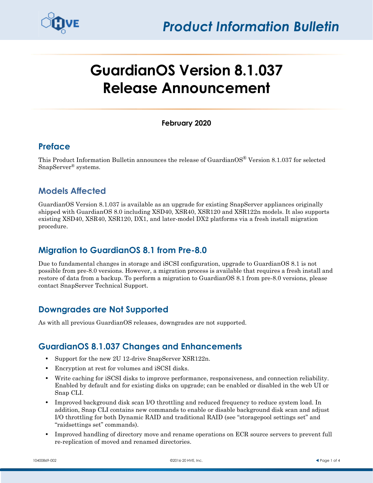

# **GuardianOS Version 8.1.037 Release Announcement**

#### **February 2020**

## **Preface**

This Product Information Bulletin announces the release of GuardianOS<sup>®</sup> Version 8.1.037 for selected SnapServer® systems.

# **Models Affected**

GuardianOS Version 8.1.037 is available as an upgrade for existing SnapServer appliances originally shipped with GuardianOS 8.0 including XSD40, XSR40, XSR120 and XSR122n models. It also supports existing XSD40, XSR40, XSR120, DX1, and later-model DX2 platforms via a fresh install migration procedure.

# **Migration to GuardianOS 8.1 from Pre-8.0**

Due to fundamental changes in storage and iSCSI configuration, upgrade to GuardianOS 8.1 is not possible from pre-8.0 versions. However, a migration process is available that requires a fresh install and restore of data from a backup. To perform a migration to GuardianOS 8.1 from pre-8.0 versions, please contact SnapServer Technical Support.

# **Downgrades are Not Supported**

As with all previous GuardianOS releases, downgrades are not supported.

## **GuardianOS 8.1.037 Changes and Enhancements**

- **•** Support for the new 2U 12-drive SnapServer XSR122n.
- **•** Encryption at rest for volumes and iSCSI disks.
- **•** Write caching for iSCSI disks to improve performance, responsiveness, and connection reliability. Enabled by default and for existing disks on upgrade; can be enabled or disabled in the web UI or Snap CLI.
- Improved background disk scan I/O throttling and reduced frequency to reduce system load. In addition, Snap CLI contains new commands to enable or disable background disk scan and adjust I/O throttling for both Dynamic RAID and traditional RAID (see "storagepool settings set" and "raidsettings set" commands).
- Improved handling of directory move and rename operations on ECR source servers to prevent full re-replication of moved and renamed directories.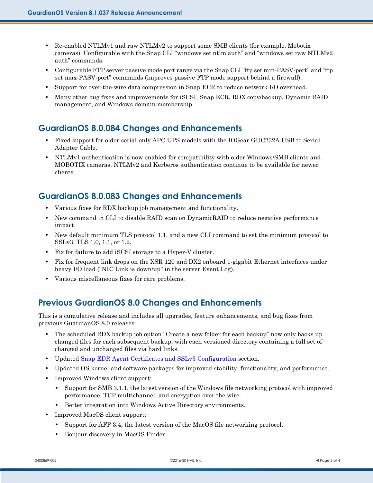- Re-enabled NTLMv1 and raw NTLMv2 to support some SMB clients (for example, Mobotix cameras). Configurable with the Snap CLI "windows set ntlm auth" and "windows set raw NTLMv2 auth" commands.
- **•** Configurable FTP server passive mode port range via the Snap CLI "ftp set min-PASV-port" and "ftp set max-PASV-port" commands (improves passive FTP mode support behind a firewall).
- **•** Support for over-the-wire data compression in Snap ECR to reduce network I/O overhead.
- **•** Many other bug fixes and improvements for iSCSI, Snap ECR, RDX copy/backup, Dynamic RAID management, and Windows domain membership.

#### **GuardianOS 8.0.084 Changes and Enhancements**

- **•** Fixed support for older serial-only APC UPS models with the IOGear GUC232A USB to Serial Adapter Cable.
- **•** NTLMv1 authentication is now enabled for compatibility with older Windows/SMB clients and MOBOTIX cameras. NTLMv2 and Kerberos authentication continue to be available for newer clients.

#### **GuardianOS 8.0.083 Changes and Enhancements**

- **•** Various fixes for RDX backup job management and functionality.
- **•** New command in CLI to disable RAID scan on DynamicRAID to reduce negative performance impact.
- New default minimum TLS protocol 1.1, and a new CLI command to set the minimum protocol to SSLv3, TLS 1.0, 1.1, or 1.2.
- **•** Fix for failure to add iSCSI storage to a Hyper-V cluster.
- **•** Fix for frequent link drops on the XSR 120 and DX2 onboard 1-gigabit Ethernet interfaces under heavy I/O load ("NIC Link is down/up" in the server Event Log).
- **•** Various miscellaneous fixes for rare problems.

## **Previous GuardianOS 8.0 Changes and Enhancements**

This is a cumulative release and includes all upgrades, feature enhancements, and bug fixes from previous GuardianOS 8.0 releases:

- The scheduled RDX backup job option "Create a new folder for each backup" now only backs up changed files for each subsequent backup, with each versioned directory containing a full set of changed and unchanged files via hard links.
- **•** Updated [Snap EDR Agent Certificates and SSLv3 Configuration](#page-2-0) section.
- **•** Updated OS kernel and software packages for improved stability, functionality, and performance.
- **•** Improved Windows client support:
	- **•** Support for SMB 3.1.1, the latest version of the Windows file networking protocol with improved performance, TCP multichannel, and encryption over the wire.
	- **•** Better integration into Windows Active Directory environments.
- **•** Improved MacOS client support:
	- **•** Support for AFP 3.4, the latest version of the MacOS file networking protocol.
	- **•** Bonjour discovery in MacOS Finder.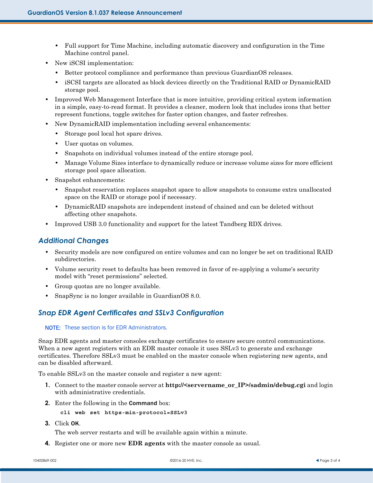- **•** Full support for Time Machine, including automatic discovery and configuration in the Time Machine control panel.
- **•** New iSCSI implementation:
	- **•** Better protocol compliance and performance than previous GuardianOS releases.
	- **•** iSCSI targets are allocated as block devices directly on the Traditional RAID or DynamicRAID storage pool.
- Improved Web Management Interface that is more intuitive, providing critical system information in a simple, easy-to-read format. It provides a cleaner, modern look that includes icons that better represent functions, toggle switches for faster option changes, and faster refreshes.
- **•** New DynamicRAID implementation including several enhancements:
	- **•** Storage pool local hot spare drives.
	- **•** User quotas on volumes.
	- **•** Snapshots on individual volumes instead of the entire storage pool.
	- Manage Volume Sizes interface to dynamically reduce or increase volume sizes for more efficient storage pool space allocation.
- **•** Snapshot enhancements:
	- Snapshot reservation replaces snapshot space to allow snapshots to consume extra unallocated space on the RAID or storage pool if necessary.
	- **•** DynamicRAID snapshots are independent instead of chained and can be deleted without affecting other snapshots.
- **•** Improved USB 3.0 functionality and support for the latest Tandberg RDX drives.

#### *Additional Changes*

- Security models are now configured on entire volumes and can no longer be set on traditional RAID subdirectories.
- Volume security reset to defaults has been removed in favor of re-applying a volume's security model with "reset permissions" selected.
- **•** Group quotas are no longer available.
- **•** SnapSync is no longer available in GuardianOS 8.0.

#### <span id="page-2-0"></span>*Snap EDR Agent Certificates and SSLv3 Configuration*

#### NOTE: These section is for EDR Administrators.

Snap EDR agents and master consoles exchange certificates to ensure secure control communications. When a new agent registers with an EDR master console it uses SSLv3 to generate and exchange certificates. Therefore SSLv3 must be enabled on the master console when registering new agents, and can be disabled afterward.

To enable SSLv3 on the master console and register a new agent:

- **1.** Connect to the master console server at **http://<servername\_or\_IP>/sadmin/debug.cgi** and login with administrative credentials.
- **2.** Enter the following in the Command box:
	- **cli web set https-min-protocol=SSLv3**
- **3.** Click OK.

The web server restarts and will be available again within a minute.

**4.** Register one or more new **EDR agents** with the master console as usual.